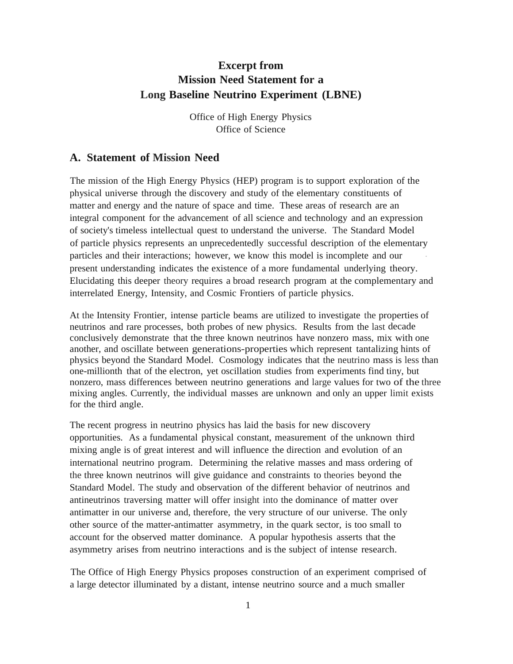# **Excerpt from Mission Need Statement for a Long Baseline Neutrino Experiment (LBNE)**

Office of High Energy Physics Office of Science

## **A. Statement of Mission Need**

The mission of the High Energy Physics (HEP) program is to support exploration of the physical universe through the discovery and study of the elementary constituents of matter and energy and the nature of space and time. These areas of research are an integral component for the advancement of all science and technology and an expression of society's timeless intellectual quest to understand the universe. The Standard Model of particle physics represents an unprecedentedly successful description of the elementary particles and their interactions; however, we know this model is incomplete and our present understanding indicates the existence of a more fundamental underlying theory. Elucidating this deeper theory requires a broad research program at the complementary and interrelated Energy, Intensity, and Cosmic Frontiers of particle physics.

At the Intensity Frontier, intense particle beams are utilized to investigate the properties of neutrinos and rare processes, both probes of new physics. Results from the last decade conclusively demonstrate that the three known neutrinos have nonzero mass, mix with one another, and oscillate between generations-properties which represent tantalizing hints of physics beyond the Standard Model. Cosmology indicates that the neutrino mass is less than one-millionth that of the electron, yet oscillation studies from experiments find tiny, but nonzero, mass differences between neutrino generations and large values for two of the three mixing angles. Currently, the individual masses are unknown and only an upper limit exists for the third angle.

The recent progress in neutrino physics has laid the basis for new discovery opportunities. As a fundamental physical constant, measurement of the unknown third mixing angle is of great interest and will influence the direction and evolution of an international neutrino program. Determining the relative masses and mass ordering of the three known neutrinos will give guidance and constraints to theories beyond the Standard Model. The study and observation of the different behavior of neutrinos and antineutrinos traversing matter will offer insight into the dominance of matter over antimatter in our universe and, therefore, the very structure of our universe. The only other source of the matter-antimatter asymmetry, in the quark sector, is too small to account for the observed matter dominance. A popular hypothesis asserts that the asymmetry arises from neutrino interactions and is the subject of intense research.

The Office of High Energy Physics proposes construction of an experiment comprised of a large detector illuminated by a distant, intense neutrino source and a much smaller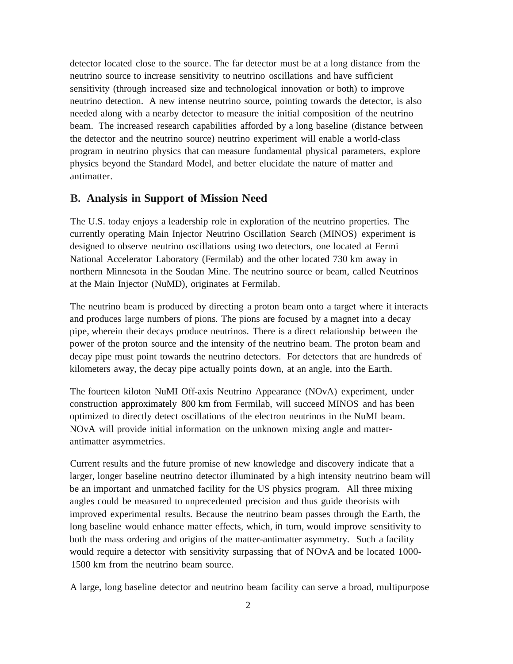detector located close to the source. The far detector must be at a long distance from the neutrino source to increase sensitivity to neutrino oscillations and have sufficient sensitivity (through increased size and technological innovation or both) to improve neutrino detection. A new intense neutrino source, pointing towards the detector, is also needed along with a nearby detector to measure the initial composition of the neutrino beam. The increased research capabilities afforded by a long baseline (distance between the detector and the neutrino source) neutrino experiment will enable a world-class program in neutrino physics that can measure fundamental physical parameters, explore physics beyond the Standard Model, and better elucidate the nature of matter and antimatter.

## **B. Analysis in Support of Mission Need**

The U.S. today enjoys a leadership role in exploration of the neutrino properties. The currently operating Main Injector Neutrino Oscillation Search (MINOS) experiment is designed to observe neutrino oscillations using two detectors, one located at Fermi National Accelerator Laboratory (Fermilab) and the other located 730 km away in northern Minnesota in the Soudan Mine. The neutrino source or beam, called Neutrinos at the Main Injector (NuMD), originates at Fermilab.

The neutrino beam is produced by directing a proton beam onto a target where it interacts and produces large numbers of pions. The pions are focused by a magnet into a decay pipe, wherein their decays produce neutrinos. There is a direct relationship between the power of the proton source and the intensity of the neutrino beam. The proton beam and decay pipe must point towards the neutrino detectors. For detectors that are hundreds of kilometers away, the decay pipe actually points down, at an angle, into the Earth.

The fourteen kiloton NuMI Off-axis Neutrino Appearance (NOvA) experiment, under construction approximately 800 km from Fermilab, will succeed MINOS and has been optimized to directly detect oscillations of the electron neutrinos in the NuMI beam. NOvA will provide initial information on the unknown mixing angle and matterantimatter asymmetries.

Current results and the future promise of new knowledge and discovery indicate that a larger, longer baseline neutrino detector illuminated by a high intensity neutrino beam will be an important and unmatched facility for the US physics program. All three mixing angles could be measured to unprecedented precision and thus guide theorists with improved experimental results. Because the neutrino beam passes through the Earth, the long baseline would enhance matter effects, which, in turn, would improve sensitivity to both the mass ordering and origins of the matter-antimatter asymmetry. Such a facility would require a detector with sensitivity surpassing that of NOvA and be located 1000- 1500 km from the neutrino beam source.

A large, long baseline detector and neutrino beam facility can serve a broad, multipurpose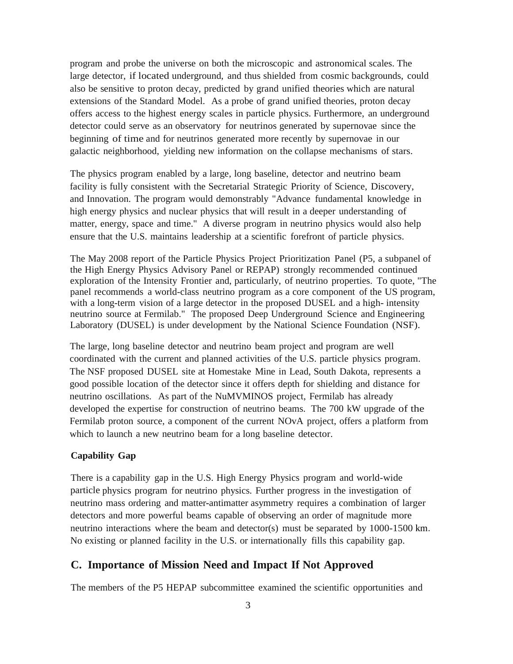program and probe the universe on both the microscopic and astronomical scales. The large detector, if located underground, and thus shielded from cosmic backgrounds, could also be sensitive to proton decay, predicted by grand unified theories which are natural extensions of the Standard Model. As a probe of grand unified theories, proton decay offers access to the highest energy scales in particle physics. Furthermore, an underground detector could serve as an observatory for neutrinos generated by supernovae since the beginning of time and for neutrinos generated more recently by supernovae in our galactic neighborhood, yielding new information on the collapse mechanisms of stars.

The physics program enabled by a large, long baseline, detector and neutrino beam facility is fully consistent with the Secretarial Strategic Priority of Science, Discovery, and Innovation. The program would demonstrably "Advance fundamental knowledge in high energy physics and nuclear physics that will result in a deeper understanding of matter, energy, space and time." A diverse program in neutrino physics would also help ensure that the U.S. maintains leadership at a scientific forefront of particle physics.

The May 2008 report of the Particle Physics Project Prioritization Panel (P5, a subpanel of the High Energy Physics Advisory Panel or REPAP) strongly recommended continued exploration of the Intensity Frontier and, particularly, of neutrino properties. To quote, "The panel recommends a world-class neutrino program as a core component of the US program, with a long-term vision of a large detector in the proposed DUSEL and a high- intensity neutrino source at Fermilab." The proposed Deep Underground Science and Engineering Laboratory (DUSEL) is under development by the National Science Foundation (NSF).

The large, long baseline detector and neutrino beam project and program are well coordinated with the current and planned activities of the U.S. particle physics program. The NSF proposed DUSEL site at Homestake Mine in Lead, South Dakota, represents a good possible location of the detector since it offers depth for shielding and distance for neutrino oscillations. As part of the NuMVMINOS project, Fermilab has already developed the expertise for construction of neutrino beams. The 700 kW upgrade of the Fermilab proton source, a component of the current NOvA project, offers a platform from which to launch a new neutrino beam for a long baseline detector.

### **Capability Gap**

There is a capability gap in the U.S. High Energy Physics program and world-wide particle physics program for neutrino physics. Further progress in the investigation of neutrino mass ordering and matter-antimatter asymmetry requires a combination of larger detectors and more powerful beams capable of observing an order of magnitude more neutrino interactions where the beam and detector(s) must be separated by 1000-1500 km. No existing or planned facility in the U.S. or internationally fills this capability gap.

### **C. Importance of Mission Need and Impact If Not Approved**

The members of the P5 HEPAP subcommittee examined the scientific opportunities and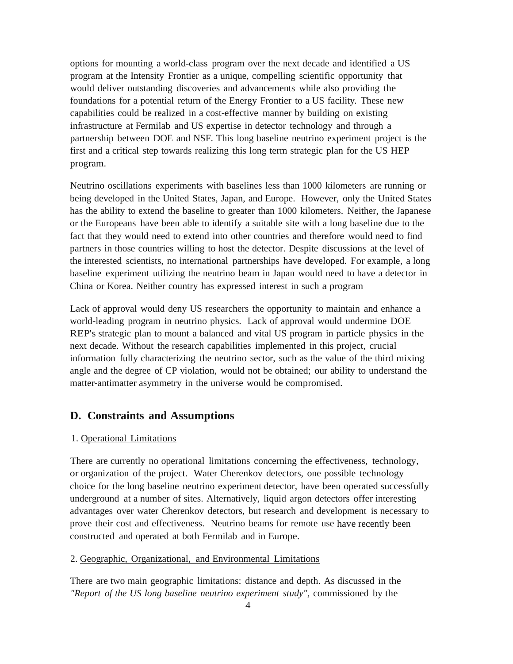options for mounting a world-class program over the next decade and identified a US program at the Intensity Frontier as a unique, compelling scientific opportunity that would deliver outstanding discoveries and advancements while also providing the foundations for a potential return of the Energy Frontier to a US facility. These new capabilities could be realized in a cost-effective manner by building on existing infrastructure at Fermilab and US expertise in detector technology and through a partnership between DOE and NSF. This long baseline neutrino experiment project is the first and a critical step towards realizing this long term strategic plan for the US HEP program.

Neutrino oscillations experiments with baselines less than 1000 kilometers are running or being developed in the United States, Japan, and Europe. However, only the United States has the ability to extend the baseline to greater than 1000 kilometers. Neither, the Japanese or the Europeans have been able to identify a suitable site with a long baseline due to the fact that they would need to extend into other countries and therefore would need to find partners in those countries willing to host the detector. Despite discussions at the level of the interested scientists, no international partnerships have developed. For example, a long baseline experiment utilizing the neutrino beam in Japan would need to have a detector in China or Korea. Neither country has expressed interest in such a program

Lack of approval would deny US researchers the opportunity to maintain and enhance a world-leading program in neutrino physics. Lack of approval would undermine DOE REP's strategic plan to mount a balanced and vital US program in particle physics in the next decade. Without the research capabilities implemented in this project, crucial information fully characterizing the neutrino sector, such as the value of the third mixing angle and the degree of CP violation, would not be obtained; our ability to understand the matter-antimatter asymmetry in the universe would be compromised.

## **D. Constraints and Assumptions**

### 1. Operational Limitations

There are currently no operational limitations concerning the effectiveness, technology, or organization of the project. Water Cherenkov detectors, one possible technology choice for the long baseline neutrino experiment detector, have been operated successfully underground at a number of sites. Alternatively, liquid argon detectors offer interesting advantages over water Cherenkov detectors, but research and development is necessary to prove their cost and effectiveness. Neutrino beams for remote use have recently been constructed and operated at both Fermilab and in Europe.

#### 2. Geographic, Organizational, and Environmental Limitations

There are two main geographic limitations: distance and depth. As discussed in the *"Report of the US long baseline neutrino experiment study",* commissioned by the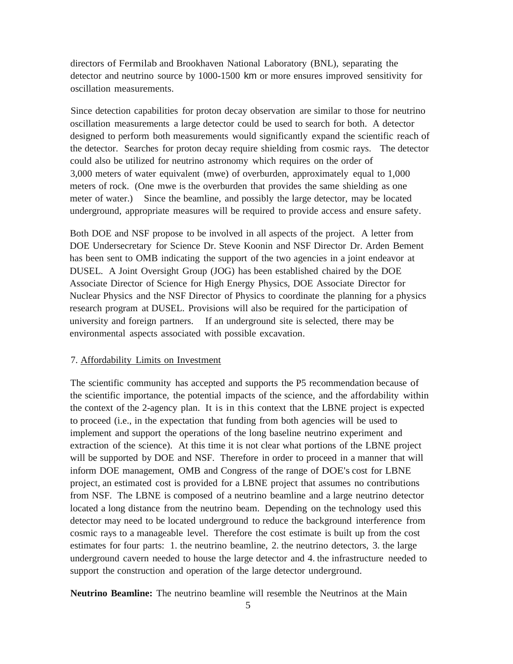directors of Fermilab and Brookhaven National Laboratory (BNL), separating the detector and neutrino source by 1000-1500 km or more ensures improved sensitivity for oscillation measurements.

Since detection capabilities for proton decay observation are similar to those for neutrino oscillation measurements a large detector could be used to search for both. A detector designed to perform both measurements would significantly expand the scientific reach of the detector. Searches for proton decay require shielding from cosmic rays. The detector could also be utilized for neutrino astronomy which requires on the order of 3,000 meters of water equivalent (mwe) of overburden, approximately equal to 1,000 meters of rock. (One mwe is the overburden that provides the same shielding as one meter of water.) Since the beamline, and possibly the large detector, may be located underground, appropriate measures will be required to provide access and ensure safety.

Both DOE and NSF propose to be involved in all aspects of the project. A letter from DOE Undersecretary for Science Dr. Steve Koonin and NSF Director Dr. Arden Bement has been sent to OMB indicating the support of the two agencies in a joint endeavor at DUSEL. A Joint Oversight Group (JOG) has been established chaired by the DOE Associate Director of Science for High Energy Physics, DOE Associate Director for Nuclear Physics and the NSF Director of Physics to coordinate the planning for a physics research program at DUSEL. Provisions will also be required for the participation of university and foreign partners. If an underground site is selected, there may be environmental aspects associated with possible excavation.

### 7. Affordability Limits on Investment

The scientific community has accepted and supports the P5 recommendation because of the scientific importance, the potential impacts of the science, and the affordability within the context of the 2-agency plan. It is in this context that the LBNE project is expected to proceed (i.e., in the expectation that funding from both agencies will be used to implement and support the operations of the long baseline neutrino experiment and extraction of the science). At this time it is not clear what portions of the LBNE project will be supported by DOE and NSF. Therefore in order to proceed in a manner that will inform DOE management, OMB and Congress of the range of DOE's cost for LBNE project, an estimated cost is provided for a LBNE project that assumes no contributions from NSF. The LBNE is composed of a neutrino beamline and a large neutrino detector located a long distance from the neutrino beam. Depending on the technology used this detector may need to be located underground to reduce the background interference from cosmic rays to a manageable level. Therefore the cost estimate is built up from the cost estimates for four parts: 1. the neutrino beamline, 2. the neutrino detectors, 3. the large underground cavern needed to house the large detector and 4. the infrastructure needed to support the construction and operation of the large detector underground.

**Neutrino Beamline:** The neutrino beamline will resemble the Neutrinos at the Main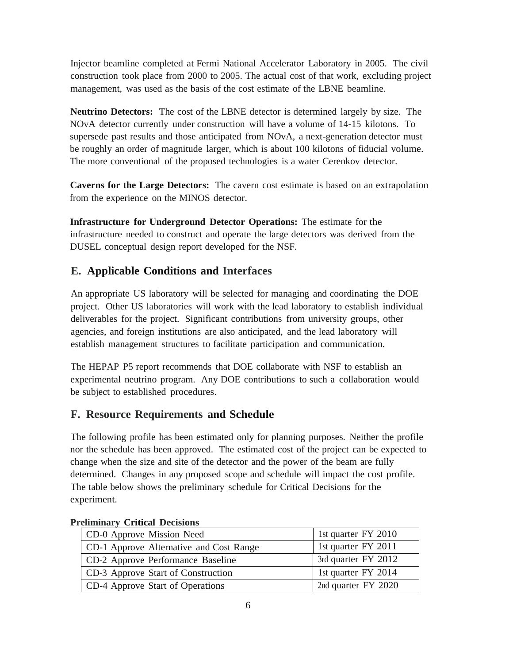Injector beamline completed at Fermi National Accelerator Laboratory in 2005. The civil construction took place from 2000 to 2005. The actual cost of that work, excluding project management, was used as the basis of the cost estimate of the LBNE beamline.

**Neutrino Detectors:** The cost of the LBNE detector is determined largely by size. The NOvA detector currently under construction will have a volume of 14-15 kilotons. To supersede past results and those anticipated from NOvA, a next-generation detector must be roughly an order of magnitude larger, which is about 100 kilotons of fiducial volume. The more conventional of the proposed technologies is a water Cerenkov detector.

**Caverns for the Large Detectors:** The cavern cost estimate is based on an extrapolation from the experience on the MINOS detector.

**Infrastructure for Underground Detector Operations:** The estimate for the infrastructure needed to construct and operate the large detectors was derived from the DUSEL conceptual design report developed for the NSF.

# **E. Applicable Conditions and Interfaces**

An appropriate US laboratory will be selected for managing and coordinating the DOE project. Other US laboratories will work with the lead laboratory to establish individual deliverables for the project. Significant contributions from university groups, other agencies, and foreign institutions are also anticipated, and the lead laboratory will establish management structures to facilitate participation and communication.

The HEPAP P5 report recommends that DOE collaborate with NSF to establish an experimental neutrino program. Any DOE contributions to such a collaboration would be subject to established procedures.

# **F. Resource Requirements and Schedule**

The following profile has been estimated only for planning purposes. Neither the profile nor the schedule has been approved. The estimated cost of the project can be expected to change when the size and site of the detector and the power of the beam are fully determined. Changes in any proposed scope and schedule will impact the cost profile. The table below shows the preliminary schedule for Critical Decisions for the experiment.

| CD-0 Approve Mission Need               | 1st quarter FY 2010 |
|-----------------------------------------|---------------------|
| CD-1 Approve Alternative and Cost Range | 1st quarter FY 2011 |
| CD-2 Approve Performance Baseline       | 3rd quarter FY 2012 |
| CD-3 Approve Start of Construction      | 1st quarter FY 2014 |
| CD-4 Approve Start of Operations        | 2nd quarter FY 2020 |

## **Preliminary Critical Decisions**